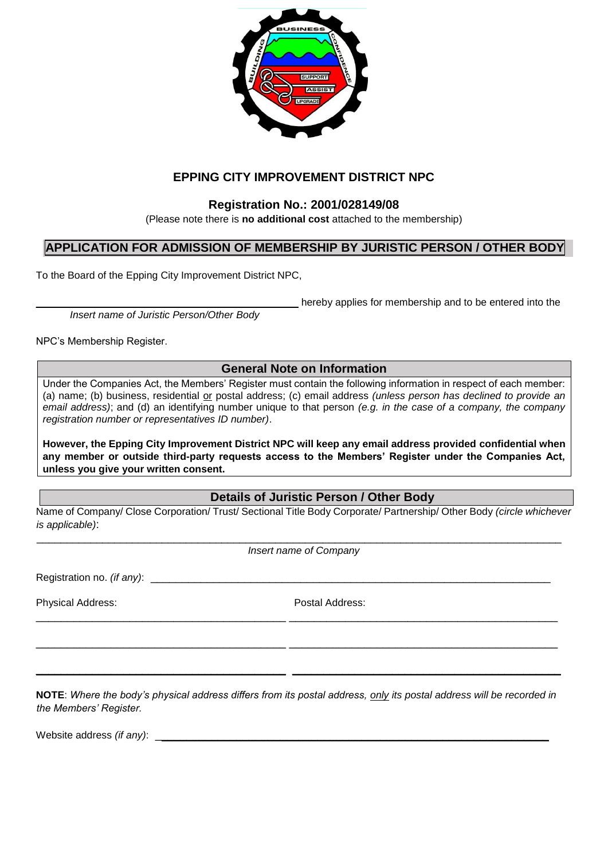

# **EPPING CITY IMPROVEMENT DISTRICT NPC**

## **Registration No.: 2001/028149/08**

(Please note there is **no additional cost** attached to the membership)

## **APPLICATION FOR ADMISSION OF MEMBERSHIP BY JURISTIC PERSON / OTHER BODY**

To the Board of the Epping City Improvement District NPC,

hereby applies for membership and to be entered into the

*Insert name of Juristic Person/Other Body* 

NPC's Membership Register.

### **General Note on Information**

Under the Companies Act, the Members' Register must contain the following information in respect of each member: (a) name; (b) business, residential or postal address; (c) email address *(unless person has declined to provide an email address)*; and (d) an identifying number unique to that person *(e.g. in the case of a company, the company registration number or representatives ID number)*.

**However, the Epping City Improvement District NPC will keep any email address provided confidential when any member or outside third-party requests access to the Members' Register under the Companies Act, unless you give your written consent.**

### **Details of Juristic Person / Other Body**

Name of Company/ Close Corporation/ Trust/ Sectional Title Body Corporate/ Partnership/ Other Body *(circle whichever is applicable)*:

 $\_$  . The contribution of the contribution of the contribution of the contribution of the contribution of  $\mathcal{L}_\text{max}$ *Insert name of Company*

\_\_\_\_\_\_\_\_\_\_\_\_\_\_\_\_\_\_\_\_\_\_\_\_\_\_\_\_\_\_\_\_\_\_\_\_\_\_\_\_ \_\_\_\_\_\_\_\_\_\_\_\_\_\_\_\_\_\_\_\_\_\_\_\_\_\_\_\_\_\_\_\_\_\_\_\_\_\_\_\_\_\_\_

 $\_$  , and the set of the set of the set of the set of the set of the set of the set of the set of the set of the set of the set of the set of the set of the set of the set of the set of the set of the set of the set of th

 $\_$  , and the set of the set of the set of the set of the set of the set of the set of the set of the set of the set of the set of the set of the set of the set of the set of the set of the set of the set of the set of th

Registration no. *(if any)*:

Physical Address: Postal Address:

**NOTE**: *Where the body's physical address differs from its postal address, only its postal address will be recorded in the Members' Register.* 

Website address *(if any)*: \_\_\_\_\_\_\_\_\_\_\_\_\_\_\_\_\_\_\_\_\_\_\_\_\_\_\_\_\_\_\_\_\_\_\_\_\_\_\_\_\_\_\_\_\_\_\_\_\_\_\_\_\_\_\_\_\_\_\_\_\_\_\_